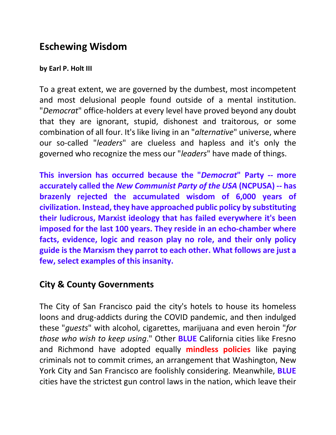# **Eschewing Wisdom**

#### **by Earl P. Holt III**

To a great extent, we are governed by the dumbest, most incompetent and most delusional people found outside of a mental institution. "*Democrat*" office-holders at every level have proved beyond any doubt that they are ignorant, stupid, dishonest and traitorous, or some combination of all four. It's like living in an "*alternative*" universe, where our so-called "*leaders*" are clueless and hapless and it's only the governed who recognize the mess our "*leaders*" have made of things.

**This inversion has occurred because the "***Democrat***" Party -- more accurately called the** *New Communist Party of the USA* **(NCPUSA) -- has brazenly rejected the accumulated wisdom of 6,000 years of civilization. Instead, they have approached public policy by substituting their ludicrous, Marxist ideology that has failed everywhere it's been imposed for the last 100 years. They reside in an echo-chamber where facts, evidence, logic and reason play no role, and their only policy guide is the Marxism they parrot to each other. What follows are just a few, select examples of this insanity.**

### **City & County Governments**

The City of San Francisco paid the city's hotels to house its homeless loons and drug-addicts during the COVID pandemic, and then indulged these "*guests*" with alcohol, cigarettes, marijuana and even heroin "*for those who wish to keep using*." Other **BLUE** California cities like Fresno and Richmond have adopted equally **mindless policies** like paying criminals not to commit crimes, an arrangement that Washington, New York City and San Francisco are foolishly considering. Meanwhile, **BLUE** cities have the strictest gun control laws in the nation, which leave their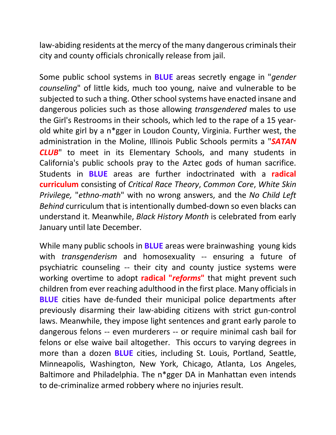law-abiding residents at the mercy of the many dangerous criminals their city and county officials chronically release from jail.

Some public school systems in **BLUE** areas secretly engage in "*gender counseling*" of little kids, much too young, naive and vulnerable to be subjected to such a thing. Other school systems have enacted insane and dangerous policies such as those allowing *transgendered* males to use the Girl's Restrooms in their schools, which led to the rape of a 15 yearold white girl by a n\*gger in Loudon County, Virginia. Further west, the administration in the Moline, Illinois Public Schools permits a "*SATAN CLUB*" to meet in its Elementary Schools, and many students in California's public schools pray to the Aztec gods of human sacrifice. Students in **BLUE** areas are further indoctrinated with a **radical curriculum** consisting of *Critical Race Theory*, *Common Core*, *White Skin Privilege,* "*ethno-math*" with no wrong answers, and the *No Child Left Behind* curriculum that is intentionally dumbed-down so even blacks can understand it. Meanwhile, *Black History Month* is celebrated from early January until late December.

While many public schools in **BLUE** areas were brainwashing young kids with *transgenderism* and homosexuality -- ensuring a future of psychiatric counseling -- their city and county justice systems were working overtime to adopt **radical "***reforms***"** that might prevent such children from ever reaching adulthood in the first place. Many officials in **BLUE** cities have de-funded their municipal police departments after previously disarming their law-abiding citizens with strict gun-control laws. Meanwhile, they impose light sentences and grant early parole to dangerous felons -- even murderers -- or require minimal cash bail for felons or else waive bail altogether. This occurs to varying degrees in more than a dozen **BLUE** cities, including St. Louis, Portland, Seattle, Minneapolis, Washington, New York, Chicago, Atlanta, Los Angeles, Baltimore and Philadelphia. The n\*gger DA in Manhattan even intends to de-criminalize armed robbery where no injuries result.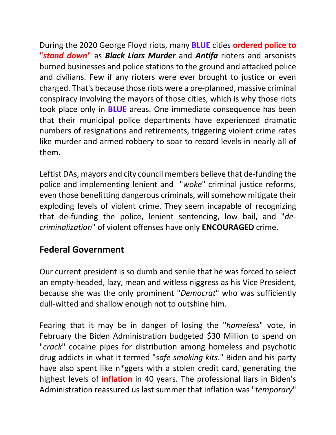During the 2020 George Floyd riots, many **BLUE** cities **ordered police to "***stand down***"** as *Black Liars Murder* and *Antifa* rioters and arsonists burned businesses and police stations to the ground and attacked police and civilians. Few if any rioters were ever brought to justice or even charged. That's because those riots were a pre-planned, massive criminal conspiracy involving the mayors of those cities, which is why those riots took place only in **BLUE** areas. One immediate consequence has been that their municipal police departments have experienced dramatic numbers of resignations and retirements, triggering violent crime rates like murder and armed robbery to soar to record levels in nearly all of them.

Leftist DAs, mayors and city council members believe that de-funding the police and implementing lenient and "*woke*" criminal justice reforms, even those benefitting dangerous criminals, will somehow mitigate their exploding levels of violent crime. They seem incapable of recognizing that de-funding the police, lenient sentencing, low bail, and "*decriminalization*" of violent offenses have only **ENCOURAGED** crime.

# **Federal Government**

Our current president is so dumb and senile that he was forced to select an empty-headed, lazy, mean and witless niggress as his Vice President, because she was the only prominent "*Democrat*" who was sufficiently dull-witted and shallow enough not to outshine him.

Fearing that it may be in danger of losing the "*homeless*" vote, in February the Biden Administration budgeted \$30 Million to spend on "*crack*" cocaine pipes for distribution among homeless and psychotic drug addicts in what it termed "*safe smoking kits*." Biden and his party have also spent like n\*ggers with a stolen credit card, generating the highest levels of **inflation** in 40 years. The professional liars in Biden's Administration reassured us last summer that inflation was "*temporary*"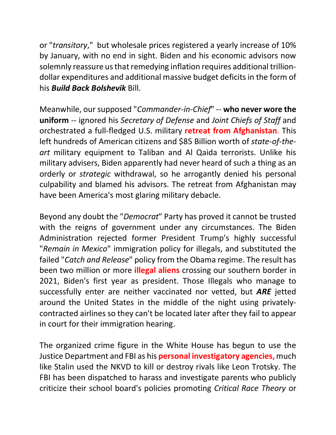or "*transitory*," but wholesale prices registered a yearly increase of 10% by January, with no end in sight. Biden and his economic advisors now solemnly reassure us that remedying inflation requires additional trilliondollar expenditures and additional massive budget deficits in the form of his *Build Back Bolshevik* Bill.

Meanwhile, our supposed "*Commander-in-Chief*" -- **who never wore the uniform** -- ignored his *Secretary of Defense* and *Joint Chiefs of Staff* and orchestrated a full-fledged U.S. military **retreat from Afghanistan**. This left hundreds of American citizens and \$85 Billion worth of *state-of-theart* military equipment to Taliban and Al Qaida terrorists. Unlike his military advisers, Biden apparently had never heard of such a thing as an orderly or *strategic* withdrawal, so he arrogantly denied his personal culpability and blamed his advisors. The retreat from Afghanistan may have been America's most glaring military debacle.

Beyond any doubt the "*Democrat*" Party has proved it cannot be trusted with the reigns of government under any circumstances. The Biden Administration rejected former President Trump's highly successful "*Remain in Mexico*" immigration policy for illegals, and substituted the failed "*Catch and Release*" policy from the Obama regime. The result has been two million or more **illegal aliens** crossing our southern border in 2021, Biden's first year as president. Those Illegals who manage to successfully enter are neither vaccinated nor vetted, but *ARE* jetted around the United States in the middle of the night using privatelycontracted airlines so they can't be located later after they fail to appear in court for their immigration hearing.

The organized crime figure in the White House has begun to use the Justice Department and FBI as his **personal investigatory agencies,**much like Stalin used the NKVD to kill or destroy rivals like Leon Trotsky. The FBI has been dispatched to harass and investigate parents who publicly criticize their school board's policies promoting *Critical Race Theory* or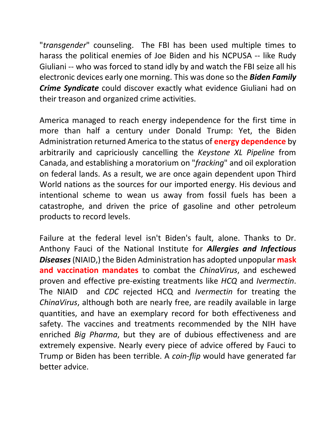"*transgender*" counseling. The FBI has been used multiple times to harass the political enemies of Joe Biden and his NCPUSA -- like Rudy Giuliani -- who was forced to stand idly by and watch the FBI seize all his electronic devices early one morning. This was done so the *Biden Family Crime Syndicate* could discover exactly what evidence Giuliani had on their treason and organized crime activities.

America managed to reach energy independence for the first time in more than half a century under Donald Trump: Yet, the Biden Administration returned America to the status of **energy dependence** by arbitrarily and capriciously cancelling the *Keystone XL Pipeline* from Canada, and establishing a moratorium on "*fracking*" and oil exploration on federal lands. As a result, we are once again dependent upon Third World nations as the sources for our imported energy. His devious and intentional scheme to wean us away from fossil fuels has been a catastrophe, and driven the price of gasoline and other petroleum products to record levels.

Failure at the federal level isn't Biden's fault, alone. Thanks to Dr. Anthony Fauci of the National Institute for *Allergies and Infectious Diseases* (NIAID,) the Biden Administration has adopted unpopular **mask and vaccination mandates** to combat the *ChinaVirus*, and eschewed proven and effective pre-existing treatments like *HCQ* and *Ivermectin*. The NIAID and *CDC* rejected HCQ and *Ivermectin* for treating the *ChinaVirus*, although both are nearly free, are readily available in large quantities, and have an exemplary record for both effectiveness and safety. The vaccines and treatments recommended by the NIH have enriched *Big Pharma*, but they are of dubious effectiveness and are extremely expensive. Nearly every piece of advice offered by Fauci to Trump or Biden has been terrible. A *coin-flip* would have generated far better advice.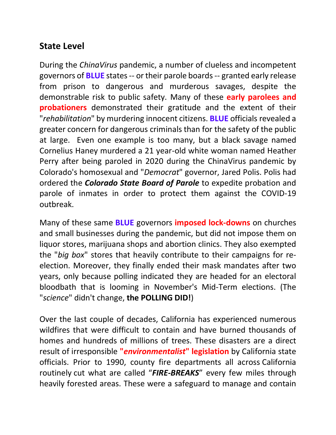## **State Level**

During the *ChinaVirus* pandemic, a number of clueless and incompetent governors of **BLUE** states -- or their parole boards -- granted early release from prison to dangerous and murderous savages, despite the demonstrable risk to public safety. Many of these **early parolees and probationers** demonstrated their gratitude and the extent of their "*rehabilitation*" by murdering innocent citizens. **BLUE** officials revealed a greater concern for dangerous criminals than for the safety of the public at large. Even one example is too many, but a black savage named Cornelius Haney murdered a 21 year-old white woman named Heather Perry after being paroled in 2020 during the ChinaVirus pandemic by Colorado's homosexual and "*Democrat*" governor, Jared Polis. Polis had ordered the *Colorado State Board of Parole* to expedite probation and parole of inmates in order to protect them against the COVID-19 outbreak.

Many of these same **BLUE** governors **imposed lock-downs** on churches and small businesses during the pandemic, but did not impose them on liquor stores, marijuana shops and abortion clinics. They also exempted the "*big box*" stores that heavily contribute to their campaigns for reelection. Moreover, they finally ended their mask mandates after two years, only because polling indicated they are headed for an electoral bloodbath that is looming in November's Mid-Term elections. (The "*science*" didn't change, **the POLLING DID!**)

Over the last couple of decades, California has experienced numerous wildfires that were difficult to contain and have burned thousands of homes and hundreds of millions of trees. These disasters are a direct result of irresponsible **"***environmentalist***" legislation** by California state officials. Prior to 1990, county fire departments all across California routinely cut what are called "*FIRE-BREAKS*" every few miles through heavily forested areas. These were a safeguard to manage and contain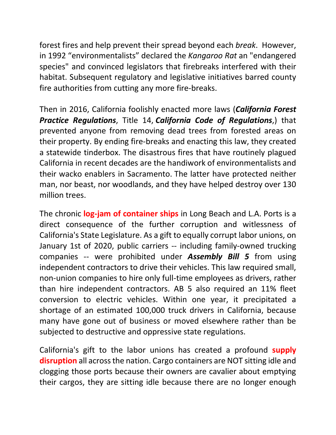forest fires and help prevent their spread beyond each *break*. However, in 1992 "environmentalists" declared the *Kangaroo Rat* an "endangered species" and convinced legislators that firebreaks interfered with their habitat. Subsequent regulatory and legislative initiatives barred county fire authorities from cutting any more fire-breaks.

Then in 2016, California foolishly enacted more laws (*California Forest Practice Regulations*, Title 14, *California Code of Regulations*,) that prevented anyone from removing dead trees from forested areas on their property. By ending fire-breaks and enacting this law, they created a statewide tinderbox. The disastrous fires that have routinely plagued California in recent decades are the handiwork of environmentalists and their wacko enablers in Sacramento. The latter have protected neither man, nor beast, nor woodlands, and they have helped destroy over 130 million trees.

The chronic **log-jam of container ships** in Long Beach and L.A. Ports is a direct consequence of the further corruption and witlessness of California's State Legislature. As a gift to equally corrupt labor unions, on January 1st of 2020, public carriers -- including family-owned trucking companies -- were prohibited under *Assembly Bill 5* from using independent contractors to drive their vehicles. This law required small, non-union companies to hire only full-time employees as drivers, rather than hire independent contractors. AB 5 also required an 11% fleet conversion to electric vehicles. Within one year, it precipitated a shortage of an estimated 100,000 truck drivers in California, because many have gone out of business or moved elsewhere rather than be subjected to destructive and oppressive state regulations.

California's gift to the labor unions has created a profound **supply disruption** all across the nation. Cargo containers are NOT sitting idle and clogging those ports because their owners are cavalier about emptying their cargos, they are sitting idle because there are no longer enough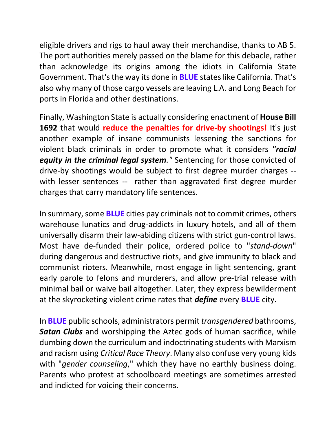eligible drivers and rigs to haul away their merchandise, thanks to AB 5. The port authorities merely passed on the blame for this debacle, rather than acknowledge its origins among the idiots in California State Government. That's the way its done in **BLUE** states like California. That's also why many of those cargo vessels are leaving L.A. and Long Beach for ports in Florida and other destinations.

Finally, Washington State is actually considering enactment of **House Bill 1692** that would **reduce the penalties for drive-by shootings!** It's just another example of insane communists lessening the sanctions for violent black criminals in order to promote what it considers *"racial equity in the criminal legal system."* Sentencing for those convicted of drive-by shootings would be subject to first degree murder charges - with lesser sentences -- rather than aggravated first degree murder charges that carry mandatory life sentences.

In summary, some **BLUE** cities pay criminals not to commit crimes, others warehouse lunatics and drug-addicts in luxury hotels, and all of them universally disarm their law-abiding citizens with strict gun-control laws. Most have de-funded their police, ordered police to "*stand-down*" during dangerous and destructive riots, and give immunity to black and communist rioters. Meanwhile, most engage in light sentencing, grant early parole to felons and murderers, and allow pre-trial release with minimal bail or waive bail altogether. Later, they express bewilderment at the skyrocketing violent crime rates that *define* every **BLUE** city.

In **BLUE** public schools, administrators permit *transgendered* bathrooms, *Satan Clubs* and worshipping the Aztec gods of human sacrifice, while dumbing down the curriculum and indoctrinating students with Marxism and racism using *Critical Race Theory*. Many also confuse very young kids with "*gender counseling*," which they have no earthly business doing. Parents who protest at schoolboard meetings are sometimes arrested and indicted for voicing their concerns.